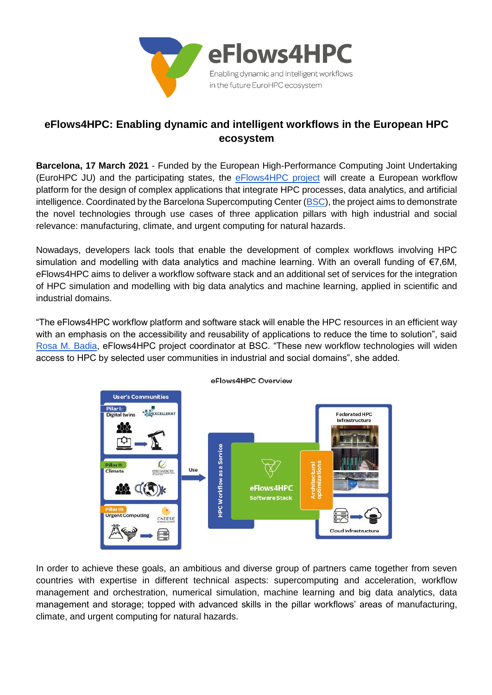

## **eFlows4HPC: Enabling dynamic and intelligent workflows in the European HPC ecosystem**

**Barcelona, 17 March 2021** - Funded by the European High-Performance Computing Joint Undertaking (EuroHPC JU) and the participating states, the [eFlows4HPC project](https://www.eflows4hpc.eu/) will create a European workflow platform for the design of complex applications that integrate HPC processes, data analytics, and artificial intelligence. Coordinated by the Barcelona Supercomputing Center [\(BSC\)](https://www.bsc.es/), the project aims to demonstrate the novel technologies through use cases of three application pillars with high industrial and social relevance: manufacturing, climate, and urgent computing for natural hazards.

Nowadays, developers lack tools that enable the development of complex workflows involving HPC simulation and modelling with data analytics and machine learning. With an overall funding of €7,6M, eFlows4HPC aims to deliver a workflow software stack and an additional set of services for the integration of HPC simulation and modelling with big data analytics and machine learning, applied in scientific and industrial domains.

"The eFlows4HPC workflow platform and software stack will enable the HPC resources in an efficient way with an emphasis on the accessibility and reusability of applications to reduce the time to solution", said [Rosa M. Badia,](https://www.bsc.es/badia-rosa-m) eFlows4HPC project coordinator at BSC. "These new workflow technologies will widen access to HPC by selected user communities in industrial and social domains", she added.



eFlows4HPC Overview

In order to achieve these goals, an ambitious and diverse group of partners came together from seven countries with expertise in different technical aspects: supercomputing and acceleration, workflow management and orchestration, numerical simulation, machine learning and big data analytics, data management and storage; topped with advanced skills in the pillar workflows' areas of manufacturing, climate, and urgent computing for natural hazards.